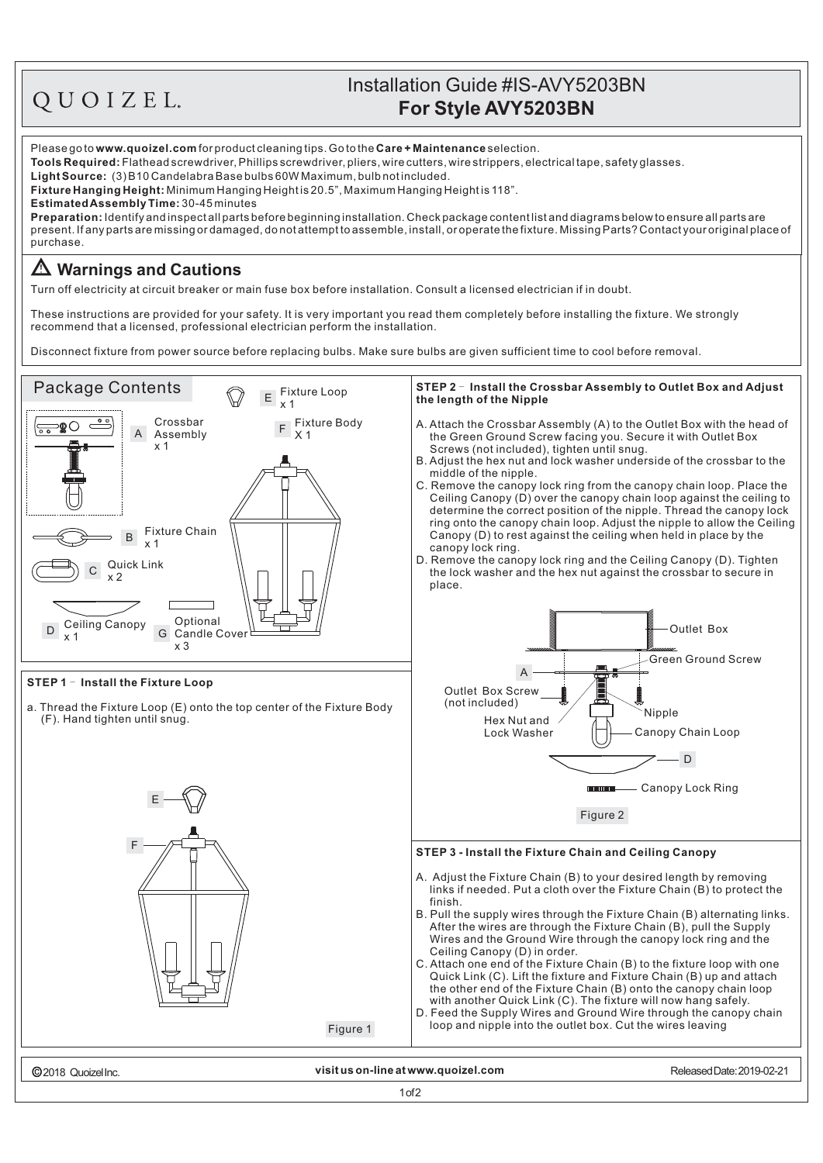## OUOIZEL.

## **For Style AVY5203BN** Installation Guide #IS-AVY5203BN

Please go to **www.quoizel.com** for product cleaning tips. Go to the **Care + Maintenance** selection.

**Tools Required:** Flathead screwdriver, Phillips screwdriver, pliers, wire cutters, wire strippers, electrical tape, safety glasses.

(3)B10CandelabraBasebulbs60WMaximum,bulbnotincluded. **LightSource:**

**Fixture Hanging Height:** Minimum Hanging Height is 20.5", Maximum Hanging Height is 118".

30-45minutes **EstimatedAssemblyTime:**

**Preparation:** Identify and inspect all parts before beginning installation. Check package content list and diagrams below to ensure all parts are present. If any parts are missing or damaged, donot attempt to assemble, install, or operate the fixture. Missing Parts? Contact your original place of purchase.

## **Warnings and Cautions**

Turn off electricity at circuit breaker or main fuse box before installation. Consult a licensed electrician if in doubt.

These instructions are provided for your safety. It is very important you read them completely before installing the fixture. We strongly recommend that a licensed, professional electrician perform the installation.

Disconnect fixture from power source before replacing bulbs. Make sure bulbs are given sufficient time to cool before removal.